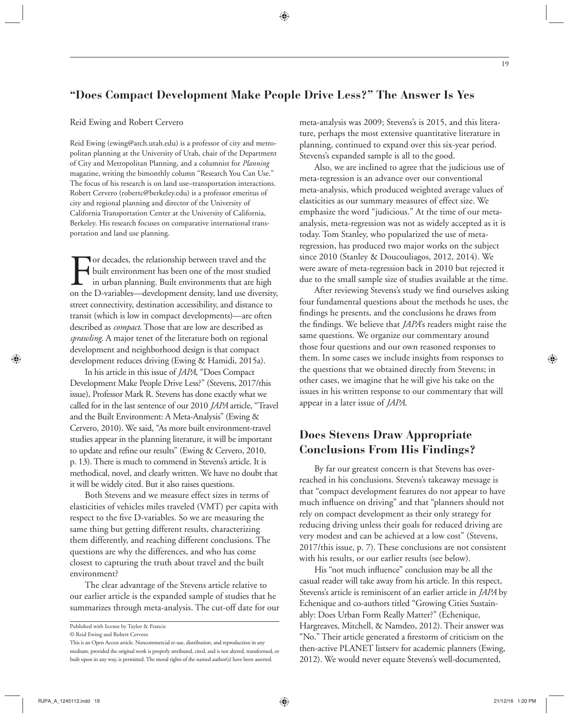### **"Does Compact Development Make People Drive Less?" The Answer Is Yes**

Reid Ewing and Robert Cervero

Reid Ewing (ewing@arch.utah.edu) is a professor of city and metropolitan planning at the University of Utah, chair of the Department of City and Metropolitan Planning, and a columnist for *Planning* magazine, writing the bimonthly column "Research You Can Use." The focus of his research is on land use–transportation interactions. Robert Cervero (robertc@berkeley.edu) is a professor emeritus of city and regional planning and director of the University of California Transportation Center at the University of California, Berkeley. His research focuses on comparative international transportation and land use planning.

For decades, the relationship between travel and the<br>built environment has been one of the most studied<br>in urban planning. Built environments that are high<br>on the D-variables—development density, land use divers built environment has been one of the most studied in urban planning. Built environments that are high on the D-variables—development density, land use diversity, street connectivity, destination accessibility, and distance to transit (which is low in compact developments)—are often described as *compact* . Those that are low are described as *sprawling* . A major tenet of the literature both on regional development and neighborhood design is that compact development reduces driving (Ewing & Hamidi, 2015a).

 In his article in this issue of *JAPA* , "Does Compact Development Make People Drive Less?" (Stevens, 2017/this issue), Professor Mark R. Stevens has done exactly what we called for in the last sentence of our 2010 *JAPA* article, "Travel and the Built Environment: A Meta-Analysis" (Ewing & Cervero, 2010). We said, "As more built environment-travel studies appear in the planning literature, it will be important to update and refine our results" (Ewing & Cervero, 2010, p. 13). There is much to commend in Stevens's article. It is methodical, novel, and clearly written. We have no doubt that it will be widely cited. But it also raises questions.

 Both Stevens and we measure effect sizes in terms of elasticities of vehicles miles traveled (VMT) per capita with respect to the five D-variables. So we are measuring the same thing but getting different results, characterizing them differently, and reaching different conclusions. The questions are why the differences, and who has come closest to capturing the truth about travel and the built environment?

 The clear advantage of the Stevens article relative to our earlier article is the expanded sample of studies that he summarizes through meta-analysis. The cut-off date for our

© Reid Ewing and Robert Cervero

meta-analysis was 2009; Stevens's is 2015, and this literature, perhaps the most extensive quantitative literature in planning, continued to expand over this six-year period. Stevens's expanded sample is all to the good.

 Also, we are inclined to agree that the judicious use of meta-regression is an advance over our conventional meta-analysis, which produced weighted average values of elasticities as our summary measures of effect size. We emphasize the word "judicious." At the time of our metaanalysis, meta-regression was not as widely accepted as it is today. Tom Stanley, who popularized the use of metaregression, has produced two major works on the subject since 2010 (Stanley & Doucouliagos, 2012, 2014). We were aware of meta-regression back in 2010 but rejected it due to the small sample size of studies available at the time.

After reviewing Stevens's study we find ourselves asking four fundamental questions about the methods he uses, the findings he presents, and the conclusions he draws from the findings. We believe that *JAPA*'s readers might raise the same questions. We organize our commentary around those four questions and our own reasoned responses to them. In some cases we include insights from responses to the questions that we obtained directly from Stevens; in other cases, we imagine that he will give his take on the issues in his written response to our commentary that will appear in a later issue of *JAPA* .

#### **Does Stevens Draw Appropriate Conclusions From His Findings?**

 By far our greatest concern is that Stevens has overreached in his conclusions. Stevens's takeaway message is that "compact development features do not appear to have much influence on driving" and that "planners should not rely on compact development as their only strategy for reducing driving unless their goals for reduced driving are very modest and can be achieved at a low cost" (Stevens, 2017/this issue, p. 7). These conclusions are not consistent with his results, or our earlier results (see below).

His "not much influence" conclusion may be all the casual reader will take away from his article. In this respect, Stevens's article is reminiscent of an earlier article in *JAPA* by Echenique and co-authors titled "Growing Cities Sustainably: Does Urban Form Really Matter?" (Echenique, Hargreaves, Mitchell, & Namdeo, 2012). Their answer was "No." Their article generated a firestorm of criticism on the then-active PLANET listserv for academic planners (Ewing, 2012). We would never equate Stevens's well-documented,

Published with license by Taylor & Francis

This is an Open Access article. Noncommercial re-use, distribution, and reproduction in any medium, provided the original work is properly attributed, cited, and is not altered, transformed, or built upon in any way, is permitted. The moral rights of the named author(s) have been asserted.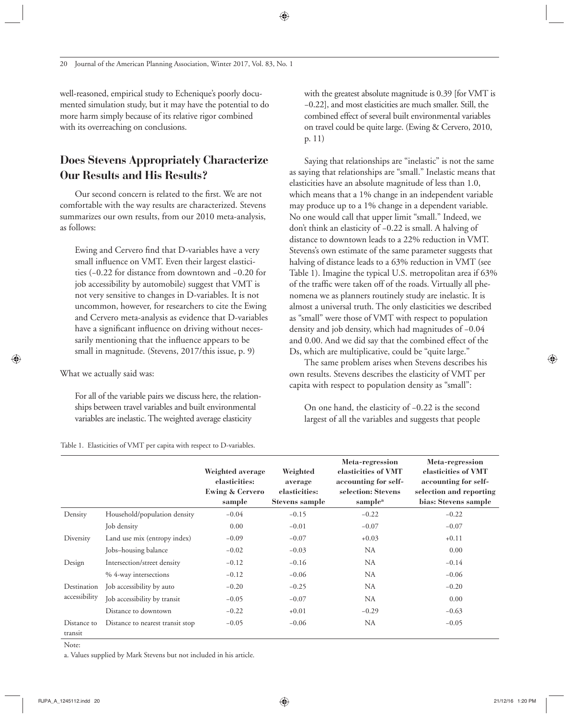well-reasoned, empirical study to Echenique's poorly documented simulation study, but it may have the potential to do more harm simply because of its relative rigor combined with its overreaching on conclusions.

# **Does Stevens Appropriately Characterize Our Results and His Results?**

Our second concern is related to the first. We are not comfortable with the way results are characterized. Stevens summarizes our own results, from our 2010 meta-analysis, as follows:

Ewing and Cervero find that D-variables have a very small influence on VMT. Even their largest elasticities (−0.22 for distance from downtown and −0.20 for job accessibility by automobile) suggest that VMT is not very sensitive to changes in D-variables. It is not uncommon, however, for researchers to cite the Ewing and Cervero meta-analysis as evidence that D-variables have a significant influence on driving without necessarily mentioning that the influence appears to be small in magnitude. (Stevens, 2017/this issue, p. 9)

What we actually said was:

 For all of the variable pairs we discuss here, the relationships between travel variables and built environmental variables are inelastic. The weighted average elasticity

Table 1. Elasticities of VMT per capita with respect to D-variables.

with the greatest absolute magnitude is 0.39 [for VMT is −0.22], and most elasticities are much smaller. Still, the combined effect of several built environmental variables on travel could be quite large. (Ewing & Cervero, 2010, p. 11)

 Saying that relationships are "inelastic" is not the same as saying that relationships are "small." Inelastic means that elasticities have an absolute magnitude of less than 1.0, which means that a 1% change in an independent variable may produce up to a 1% change in a dependent variable. No one would call that upper limit "small." Indeed, we don't think an elasticity of −0.22 is small. A halving of distance to downtown leads to a 22% reduction in VMT. Stevens's own estimate of the same parameter suggests that halving of distance leads to a 63% reduction in VMT (see Table 1). Imagine the typical U.S. metropolitan area if 63% of the traffic were taken off of the roads. Virtually all phenomena we as planners routinely study are inelastic. It is almost a universal truth. The only elasticities we described as "small" were those of VMT with respect to population density and job density, which had magnitudes of −0.04 and 0.00. And we did say that the combined effect of the Ds, which are multiplicative, could be "quite large."

 The same problem arises when Stevens describes his own results. Stevens describes the elasticity of VMT per capita with respect to population density as "small":

 On one hand, the elasticity of −0.22 is the second largest of all the variables and suggests that people

|                              |                                  | Weighted average<br>elasticities:<br><b>Ewing &amp; Cervero</b><br>sample | Weighted<br>average<br>elasticities:<br>Stevens sample | Meta-regression<br>elasticities of VMT<br>accounting for self-<br>selection: Stevens<br>sample <sup>a</sup> | Meta-regression<br>elasticities of VMT<br>accounting for self-<br>selection and reporting<br>bias: Stevens sample |
|------------------------------|----------------------------------|---------------------------------------------------------------------------|--------------------------------------------------------|-------------------------------------------------------------------------------------------------------------|-------------------------------------------------------------------------------------------------------------------|
| Density                      | Household/population density     | $-0.04$                                                                   | $-0.15$                                                | $-0.22$                                                                                                     | $-0.22$                                                                                                           |
|                              | Job density                      | 0.00                                                                      | $-0.01$                                                | $-0.07$                                                                                                     | $-0.07$                                                                                                           |
| Diversity                    | Land use mix (entropy index)     | $-0.09$                                                                   | $-0.07$                                                | $+0.03$                                                                                                     | $+0.11$                                                                                                           |
|                              | Jobs-housing balance             | $-0.02$                                                                   | $-0.03$                                                | <b>NA</b>                                                                                                   | 0.00                                                                                                              |
| Design                       | Intersection/street density      | $-0.12$                                                                   | $-0.16$                                                | <b>NA</b>                                                                                                   | $-0.14$                                                                                                           |
|                              | % 4-way intersections            | $-0.12$                                                                   | $-0.06$                                                | NA                                                                                                          | $-0.06$                                                                                                           |
| Destination<br>accessibility | Job accessibility by auto        | $-0.20$                                                                   | $-0.25$                                                | <b>NA</b>                                                                                                   | $-0.20$                                                                                                           |
|                              | Job accessibility by transit     | $-0.05$                                                                   | $-0.07$                                                | NA                                                                                                          | 0.00                                                                                                              |
|                              | Distance to downtown             | $-0.22$                                                                   | $+0.01$                                                | $-0.29$                                                                                                     | $-0.63$                                                                                                           |
| Distance to<br>transit       | Distance to nearest transit stop | $-0.05$                                                                   | $-0.06$                                                | <b>NA</b>                                                                                                   | $-0.05$                                                                                                           |

Note:

a. Values supplied by Mark Stevens but not included in his article.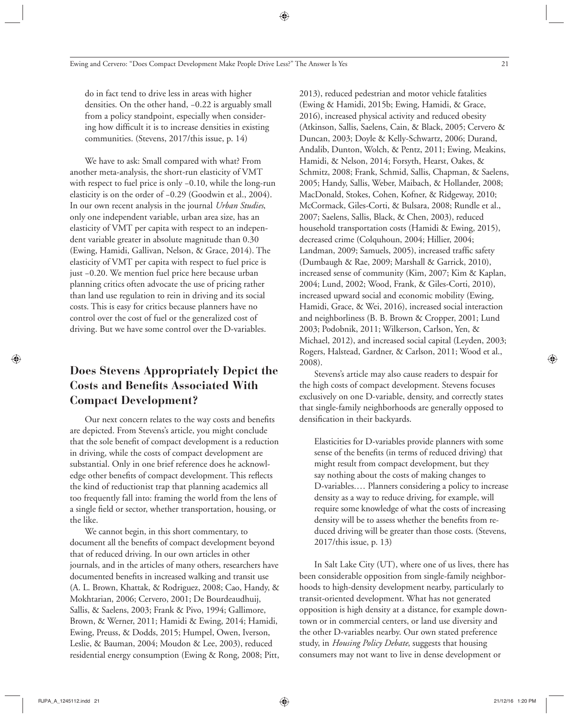do in fact tend to drive less in areas with higher densities. On the other hand, −0.22 is arguably small from a policy standpoint, especially when considering how difficult it is to increase densities in existing communities. (Stevens, 2017/this issue, p. 14)

 We have to ask: Small compared with what? From another meta-analysis, the short-run elasticity of VMT with respect to fuel price is only −0.10, while the long-run elasticity is on the order of -0.29 (Goodwin et al., 2004). In our own recent analysis in the journal *Urban Studies* , only one independent variable, urban area size, has an elasticity of VMT per capita with respect to an independent variable greater in absolute magnitude than 0.30 (Ewing, Hamidi, Gallivan, Nelson, & Grace, 2014). The elasticity of VMT per capita with respect to fuel price is just −0.20. We mention fuel price here because urban planning critics often advocate the use of pricing rather than land use regulation to rein in driving and its social costs. This is easy for critics because planners have no control over the cost of fuel or the generalized cost of driving. But we have some control over the D-variables.

# **Does Stevens Appropriately Depict the Costs and Benefits Associated With Compact Development?**

Our next concern relates to the way costs and benefits are depicted. From Stevens's article, you might conclude that the sole benefit of compact development is a reduction in driving, while the costs of compact development are substantial. Only in one brief reference does he acknowledge other benefits of compact development. This reflects the kind of reductionist trap that planning academics all too frequently fall into: framing the world from the lens of a single field or sector, whether transportation, housing, or the like.

 We cannot begin, in this short commentary, to document all the benefits of compact development beyond that of reduced driving. In our own articles in other journals, and in the articles of many others, researchers have documented benefits in increased walking and transit use (A. L. Brown, Khattak, & Rodriguez, 2008; Cao, Handy, & Mokhtarian, 2006; Cervero, 2001; De Bourdeaudhuij, Sallis, & Saelens, 2003; Frank & Pivo, 1994; Gallimore, Brown, & Werner, 2011; Hamidi & Ewing, 2014; Hamidi, Ewing, Preuss, & Dodds, 2015; Humpel, Owen, Iverson, Leslie, & Bauman, 2004; Moudon & Lee, 2003), reduced residential energy consumption (Ewing & Rong, 2008; Pitt,

 2013 ), reduced pedestrian and motor vehicle fatalities (Ewing & Hamidi, 2015b; Ewing, Hamidi, & Grace, 2016), increased physical activity and reduced obesity (Atkinson, Sallis, Saelens, Cain, & Black, 2005; Cervero & Duncan, 2003; Doyle & Kelly-Schwartz, 2006; Durand, Andalib, Dunton, Wolch, & Pentz, 2011; Ewing, Meakins, Hamidi, & Nelson, 2014; Forsyth, Hearst, Oakes, & Schmitz, 2008; Frank, Schmid, Sallis, Chapman, & Saelens, 2005; Handy, Sallis, Weber, Maibach, & Hollander, 2008; MacDonald, Stokes, Cohen, Kofner, & Ridgeway, 2010; McCormack, Giles-Corti, & Bulsara, 2008; Rundle et al., 2007; Saelens, Sallis, Black, & Chen, 2003), reduced household transportation costs (Hamidi & Ewing, 2015), decreased crime (Colquhoun, 2004; Hillier, 2004; Landman, 2009; Samuels, 2005), increased traffic safety (Dumbaugh & Rae, 2009; Marshall & Garrick, 2010), increased sense of community (Kim, 2007; Kim & Kaplan, 2004; Lund, 2002; Wood, Frank, & Giles-Corti, 2010), increased upward social and economic mobility (Ewing, Hamidi, Grace, & Wei, 2016), increased social interaction and neighborliness (B. B. Brown & Cropper, 2001; Lund 2003; Podobnik, 2011; Wilkerson, Carlson, Yen, & Michael, 2012), and increased social capital (Leyden, 2003; Rogers, Halstead, Gardner, & Carlson, 2011 ; Wood et al., 2008).

 Stevens's article may also cause readers to despair for the high costs of compact development. Stevens focuses exclusively on one D-variable, density, and correctly states that single-family neighborhoods are generally opposed to densification in their backyards.

 Elasticities for D-variables provide planners with some sense of the benefits (in terms of reduced driving) that might result from compact development, but they say nothing about the costs of making changes to D-variables. … Planners considering a policy to increase density as a way to reduce driving, for example, will require some knowledge of what the costs of increasing density will be to assess whether the benefits from reduced driving will be greater than those costs. (Stevens, 2017 /this issue, p. 13)

 In Salt Lake City (UT), where one of us lives, there has been considerable opposition from single-family neighborhoods to high-density development nearby, particularly to transit-oriented development. What has not generated opposition is high density at a distance, for example downtown or in commercial centers, or land use diversity and the other D-variables nearby. Our own stated preference study, in *Housing Policy Debate* , suggests that housing consumers may not want to live in dense development or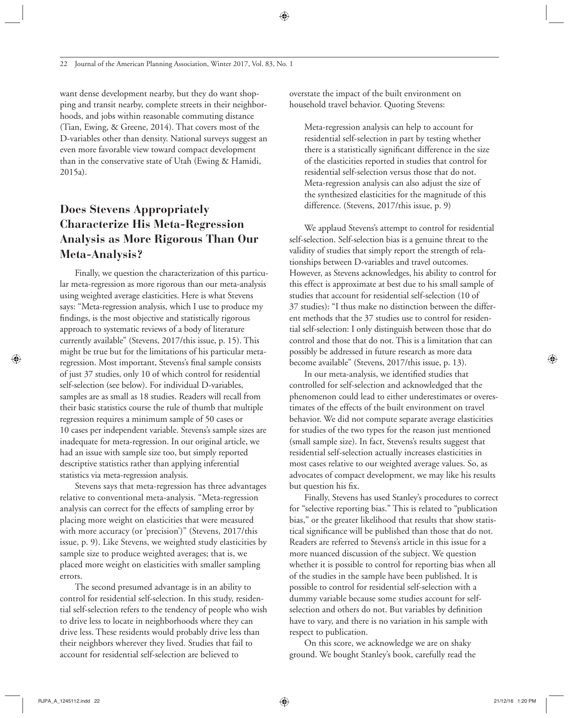want dense development nearby, but they do want shopping and transit nearby, complete streets in their neighborhoods, and jobs within reasonable commuting distance (Tian, Ewing, & Greene, 2014). That covers most of the D-variables other than density. National surveys suggest an even more favorable view toward compact development than in the conservative state of Utah (Ewing & Hamidi,  $2015a$ ).

# **Does Stevens Appropriately Characterize His Meta-Regression Analysis as More Rigorous Than Our Meta-Analysis?**

 Finally, we question the characterization of this particular meta-regression as more rigorous than our meta-analysis using weighted average elasticities. Here is what Stevens says: "Meta-regression analysis, which I use to produce my findings, is the most objective and statistically rigorous approach to systematic reviews of a body of literature currently available" (Stevens, 2017/this issue, p. 15). This might be true but for the limitations of his particular metaregression. Most important, Stevens's final sample consists of just 37 studies, only 10 of which control for residential self-selection (see below). For individual D-variables, samples are as small as 18 studies. Readers will recall from their basic statistics course the rule of thumb that multiple regression requires a minimum sample of 50 cases or 10 cases per independent variable. Stevens's sample sizes are inadequate for meta-regression. In our original article, we had an issue with sample size too, but simply reported descriptive statistics rather than applying inferential statistics via meta-regression analysis.

 Stevens says that meta-regression has three advantages relative to conventional meta-analysis. "Meta-regression analysis can correct for the effects of sampling error by placing more weight on elasticities that were measured with more accuracy (or 'precision')" (Stevens, 2017/this issue, p. 9). Like Stevens, we weighted study elasticities by sample size to produce weighted averages; that is, we placed more weight on elasticities with smaller sampling errors.

 The second presumed advantage is in an ability to control for residential self-selection. In this study, residential self-selection refers to the tendency of people who wish to drive less to locate in neighborhoods where they can drive less. These residents would probably drive less than their neighbors wherever they lived. Studies that fail to account for residential self-selection are believed to

overstate the impact of the built environment on household travel behavior. Quoting Stevens:

 Meta-regression analysis can help to account for residential self-selection in part by testing whether there is a statistically significant difference in the size of the elasticities reported in studies that control for residential self-selection versus those that do not. Meta-regression analysis can also adjust the size of the synthesized elasticities for the magnitude of this difference. (Stevens, 2017/this issue, p. 9)

 We applaud Stevens's attempt to control for residential self-selection. Self-selection bias is a genuine threat to the validity of studies that simply report the strength of relationships between D-variables and travel outcomes. However, as Stevens acknowledges, his ability to control for this effect is approximate at best due to his small sample of studies that account for residential self-selection (10 of 37 studies): "I thus make no distinction between the different methods that the 37 studies use to control for residential self-selection: I only distinguish between those that do control and those that do not. This is a limitation that can possibly be addressed in future research as more data become available" (Stevens, 2017/this issue, p. 13).

In our meta-analysis, we identified studies that controlled for self-selection and acknowledged that the phenomenon could lead to either underestimates or overestimates of the effects of the built environment on travel behavior. We did not compute separate average elasticities for studies of the two types for the reason just mentioned (small sample size). In fact, Stevens's results suggest that residential self-selection actually increases elasticities in most cases relative to our weighted average values. So, as advocates of compact development, we may like his results but question his fix.

 Finally, Stevens has used Stanley's procedures to correct for "selective reporting bias." This is related to "publication bias," or the greater likelihood that results that show statistical significance will be published than those that do not. Readers are referred to Stevens's article in this issue for a more nuanced discussion of the subject. We question whether it is possible to control for reporting bias when all of the studies in the sample have been published. It is possible to control for residential self-selection with a dummy variable because some studies account for selfselection and others do not. But variables by definition have to vary, and there is no variation in his sample with respect to publication.

 On this score, we acknowledge we are on shaky ground. We bought Stanley's book, carefully read the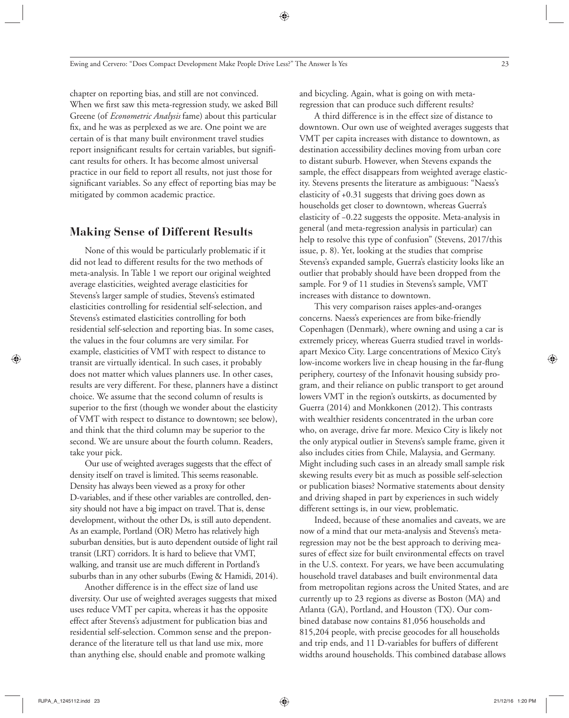chapter on reporting bias, and still are not convinced. When we first saw this meta-regression study, we asked Bill Greene (of *Econometric Analysis* fame) about this particular fix, and he was as perplexed as we are. One point we are certain of is that many built environment travel studies report insignificant results for certain variables, but significant results for others. It has become almost universal practice in our field to report all results, not just those for significant variables. So any effect of reporting bias may be mitigated by common academic practice.

#### **Making Sense of Different Results**

 None of this would be particularly problematic if it did not lead to different results for the two methods of meta-analysis. In Table 1 we report our original weighted average elasticities, weighted average elasticities for Stevens's larger sample of studies, Stevens's estimated elasticities controlling for residential self-selection, and Stevens's estimated elasticities controlling for both residential self-selection and reporting bias. In some cases, the values in the four columns are very similar. For example, elasticities of VMT with respect to distance to transit are virtually identical. In such cases, it probably does not matter which values planners use. In other cases, results are very different. For these, planners have a distinct choice. We assume that the second column of results is superior to the first (though we wonder about the elasticity of VMT with respect to distance to downtown; see below), and think that the third column may be superior to the second. We are unsure about the fourth column. Readers, take your pick.

 Our use of weighted averages suggests that the effect of density itself on travel is limited. This seems reasonable. Density has always been viewed as a proxy for other D-variables, and if these other variables are controlled, density should not have a big impact on travel. That is, dense development, without the other Ds, is still auto dependent. As an example, Portland (OR) Metro has relatively high suburban densities, but is auto dependent outside of light rail transit (LRT) corridors. It is hard to believe that VMT, walking, and transit use are much different in Portland's suburbs than in any other suburbs (Ewing & Hamidi, 2014).

 Another difference is in the effect size of land use diversity. Our use of weighted averages suggests that mixed uses reduce VMT per capita, whereas it has the opposite effect after Stevens's adjustment for publication bias and residential self-selection. Common sense and the preponderance of the literature tell us that land use mix, more than anything else, should enable and promote walking

and bicycling. Again, what is going on with metaregression that can produce such different results?

 A third difference is in the effect size of distance to downtown. Our own use of weighted averages suggests that VMT per capita increases with distance to downtown, as destination accessibility declines moving from urban core to distant suburb. However, when Stevens expands the sample, the effect disappears from weighted average elasticity. Stevens presents the literature as ambiguous: "Naess's elasticity of +0.31 suggests that driving goes down as households get closer to downtown, whereas Guerra's elasticity of −0.22 suggests the opposite. Meta-analysis in general (and meta-regression analysis in particular) can help to resolve this type of confusion" (Stevens, 2017/this issue, p. 8). Yet, looking at the studies that comprise Stevens's expanded sample, Guerra's elasticity looks like an outlier that probably should have been dropped from the sample. For 9 of 11 studies in Stevens's sample, VMT increases with distance to downtown.

 This very comparison raises apples-and-oranges concerns. Naess's experiences are from bike-friendly Copenhagen (Denmark), where owning and using a car is extremely pricey, whereas Guerra studied travel in worldsapart Mexico City. Large concentrations of Mexico City's low-income workers live in cheap housing in the far-flung periphery, courtesy of the Infonavit housing subsidy program, and their reliance on public transport to get around lowers VMT in the region's outskirts, as documented by Guerra (2014) and Monkkonen (2012). This contrasts with wealthier residents concentrated in the urban core who, on average, drive far more. Mexico City is likely not the only atypical outlier in Stevens's sample frame, given it also includes cities from Chile, Malaysia, and Germany. Might including such cases in an already small sample risk skewing results every bit as much as possible self-selection or publication biases? Normative statements about density and driving shaped in part by experiences in such widely different settings is, in our view, problematic.

 Indeed, because of these anomalies and caveats, we are now of a mind that our meta-analysis and Stevens's metaregression may not be the best approach to deriving measures of effect size for built environmental effects on travel in the U.S. context. For years, we have been accumulating household travel databases and built environmental data from metropolitan regions across the United States, and are currently up to 23 regions as diverse as Boston (MA) and Atlanta (GA), Portland, and Houston (TX). Our combined database now contains 81,056 households and 815,204 people, with precise geocodes for all households and trip ends, and 11 D-variables for buffers of different widths around households. This combined database allows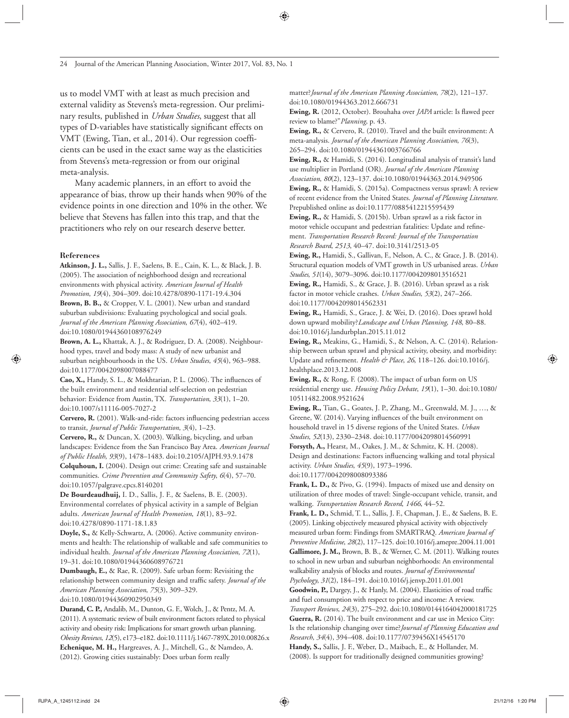us to model VMT with at least as much precision and external validity as Stevens's meta-regression. Our preliminary results, published in *Urban Studies* , suggest that all types of D-variables have statistically significant effects on VMT (Ewing, Tian, et al., 2014). Our regression coefficients can be used in the exact same way as the elasticities from Stevens's meta-regression or from our original meta-analysis.

 Many academic planners, in an effort to avoid the appearance of bias, throw up their hands when 90% of the evidence points in one direction and 10% in the other. We believe that Stevens has fallen into this trap, and that the practitioners who rely on our research deserve better.

#### **References**

Atkinson, J. L., Sallis, J. F., Saelens, B. E., Cain, K. L., & Black, J. B. (2005). The association of neighborhood design and recreational environments with physical activity . *American Journal of Health Promotion* , *19* ( 4 ), 304 – 309 . doi: 10.4278/0890-1171-19.4.304 Brown, B. B., & Cropper, V. L. (2001). New urban and standard suburban subdivisions: Evaluating psychological and social goals . *Journal of the American Planning Association*, 67(4), 402-419. doi: 10.1080/01944360108976249

Brown, A. L., Khattak, A. J., & Rodriguez, D. A. (2008). Neighbourhood types, travel and body mass: A study of new urbanist and suburban neighbourhoods in the US. *Urban Studies*, 45(4), 963–988. doi: 10.1177/0042098007088477

Cao, X., Handy, S. L., & Mokhtarian, P. L. (2006). The influences of the built environment and residential self-selection on pedestrian behavior: Evidence from Austin, TX. *Transportation*, 33(1), 1-20. doi: 10.1007/s11116-005-7027-2

Cervero, R. (2001). Walk-and-ride: factors influencing pedestrian access to transit, *Journal of Public Transportation*, 3(4), 1-23.

Cervero, R., & Duncan, X. (2003). Walking, bicycling, and urban landscapes: Evidence from the San Francisco Bay Area. *American Journal of Public Health* , *93* ( 9 ), 1478 – 1483 . doi: 10.2105/AJPH.93.9.1478 **Colquhoun, I.** (2004). Design out crime: Creating safe and sustainable communities. *Crime Prevention and Community Safety*, 6(4), 57-70. doi: 10.1057/palgrave.cpcs.8140201

**De Bourdeaudhuij,** I. D., Sallis, J. F., & Saelens, B. E. (2003). Environmental correlates of physical activity in a sample of Belgian adults. American Journal of Health Promotion, 18(1), 83-92. doi: 10.4278/0890-1171-18.1.83

Doyle, S., & Kelly-Schwartz, A. (2006). Active community environments and health: The relationship of walkable and safe communities to individual health. *Journal of the American Planning Association*, 72(1), 19 – 31 . doi: 10.1080/01944360608976721

**Dumbaugh, E.,** & Rae, R. (2009). Safe urban form: Revisiting the relationship between community design and traffic safety. *Journal of the American Planning Association* , *75* ( 3 ), 309 – 329 . doi: 10.1080/01944360902950349

**Durand, C. P., Andalib, M., Dunton, G. F., Wolch, J., & Pentz, M. A.** ( 2011 ). A systematic review of built environment factors related to physical activity and obesity risk: Implications for smart growth urban planning. *Obesity Reviews* , *12* ( 5 ), e173 – e182 . doi: 10.1111/j.1467-789X.2010.00826.x Echenique, M. H., Hargreaves, A. J., Mitchell, G., & Namdeo, A. (2012). Growing cities sustainably: Does urban form really

matter? *Journal of the American Planning Association*, 78(2), 121-137. doi: 10.1080/01944363.2012.666731

Ewing, R. (2012, October). Brouhaha over *JAPA* article: Is flawed peer review to blame?" Planning, p. 43.

Ewing, R., & Cervero, R. (2010). Travel and the built environment: A meta-analysis. *Journal of the American Planning Association*, 76(3), 265-294. doi:10.1080/01944361003766766

**Ewing, R.,** & Hamidi, S. (2014). Longitudinal analysis of transit's land use multiplier in Portland (OR) . *Journal of the American Planning Association* , *80* ( 2 ), 123 – 137 . doi: 10.1080/01944363.2014.949506

Ewing, R., & Hamidi, S. (2015a). Compactness versus sprawl: A review of recent evidence from the United States . *Journal of Planning Literature* . Prepublished online as doi:10.1177/0885412215595439

Ewing, R., & Hamidi, S. (2015b). Urban sprawl as a risk factor in motor vehicle occupant and pedestrian fatalities: Update and refinement. *Transportation Research Record: Journal of the Transportation Research Board* , *2513* , 40 – 47 . doi: 10.3141/2513-05

**Ewing, R., Hamidi, S., Gallivan, F., Nelson, A. C., & Grace, J. B. (2014).**  Structural equation models of VMT growth in US urbanised areas . *Urban Studies* , *51* ( 14 ), 3079 – 3096 . doi: 10.1177/0042098013516521

**Ewing, R.,** Hamidi, S., & Grace, J. B. (2016). Urban sprawl as a risk factor in motor vehicle crashes. *Urban Studies*, 53(2), 247-266. doi: 10.1177/0042098014562331

**Ewing, R., Hamidi, S., Grace, J. & Wei, D. (2016). Does sprawl hold** down upward mobility? *Landscape and Urban Planning*, 148, 80-88. doi: 10.1016/j.landurbplan.2015.11.012

**Ewing, R.,** Meakins, G., Hamidi, S., & Nelson, A. C. (2014). Relationship between urban sprawl and physical activity, obesity, and morbidity: Update and refinement. *Health & Place*, 26, 118-126. doi:10.1016/j. healthplace.2013.12.008

Ewing, R., & Rong, F. (2008). The impact of urban form on US residential energy use. *Housing Policy Debate*, 19(1), 1-30. doi:10.1080/ 10511482.2008.9521624

**Ewing, R.,** Tian, G., Goates, J. P., Zhang, M., Greenwald, M. J., ..., & Greene, W. (2014). Varying influences of the built environment on household travel in 15 diverse regions of the United States. *Urban Studies* , *52* ( 13 ), 2330 – 2348 . doi: 10.1177/0042098014560991

Forsyth, A., Hearst, M., Oakes, J. M., & Schmitz, K. H. (2008). Design and destinations: Factors influencing walking and total physical activity. *Urban Studies*, 45(9), 1973-1996. doi: 10.1177/0042098008093386

Frank, L. D., & Pivo, G. (1994). Impacts of mixed use and density on utilization of three modes of travel: Single-occupant vehicle, transit, and walking. *Transportation Research Record*, 1466, 44–52.

Frank, L. D., Schmid, T. L., Sallis, J. F., Chapman, J. E., & Saelens, B. E. (2005). Linking objectively measured physical activity with objectively measured urban form: Findings from SMARTRAQ . *American Journal of Preventive Medicine* , *28* ( 2 ), 117 – 125 . doi: 10.1016/j.amepre.2004.11.001 Gallimore, J. M., Brown, B. B., & Werner, C. M. (2011). Walking routes to school in new urban and suburban neighborhoods: An environmental walkability analysis of blocks and routes . *Journal of Environmental Psychology* , *31* ( 2 ), 184 – 191 . doi: 10.1016/j.jenvp.2011.01.001 Goodwin, P., Dargey, J., & Hanly, M. (2004). Elasticities of road traffic and fuel consumption with respect to price and income: A review. *Transport Reviews* , *24* ( 3 ), 275 – 292 . doi: 10.1080/0144164042000181725 Guerra, R. (2014). The built environment and car use in Mexico City: Is the relationship changing over time? *Journal of Planning Education and Research* , *34* ( 4 ), 394 – 408 . doi: 10.1177/0739456X14545170 Handy, S., Sallis, J. F., Weber, D., Maibach, E., & Hollander, M. (2008). Is support for traditionally designed communities growing?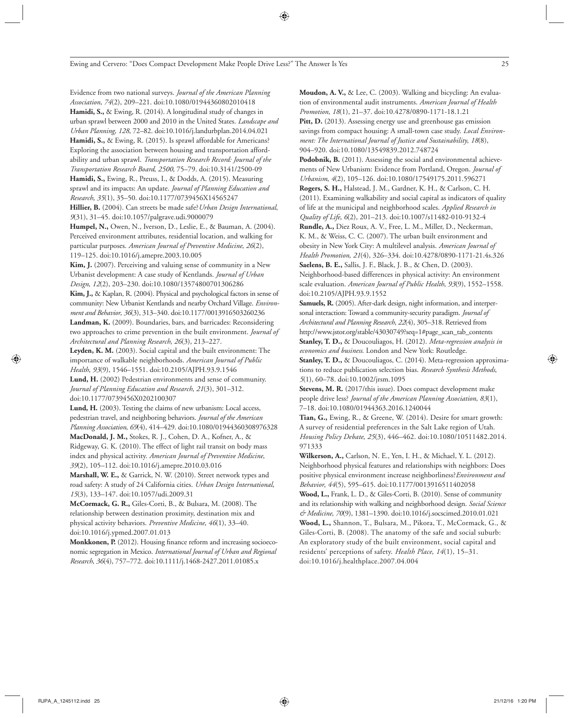Evidence from two national surveys . *Journal of the American Planning*  Association, 74(2), 209-221. doi:10.1080/01944360802010418 Hamidi, S., & Ewing, R. (2014). A longitudinal study of changes in urban sprawl between 2000 and 2010 in the United States . *Landscape and Urban Planning* , *128* , 72 – 82 . doi: 10.1016/j.landurbplan.2014.04.021 Hamidi, S., & Ewing, R. (2015). Is sprawl affordable for Americans? Exploring the association between housing and transportation affordability and urban sprawl. *Transportation Research Record: Journal of the* 

*Transportation Research Board* , *2500* , 75 – 79 . doi: 10.3141/2500-09 **Hamidi, S.,** Ewing, R., Preuss, I., & Dodds, A. (2015). Measuring

sprawl and its impacts: An update . *Journal of Planning Education and Research* , *35* ( 1 ), 35 – 50 . doi: 10.1177/0739456X14565247

Hillier, B. (2004). Can streets be made safe? *Urban Design International*, 9(31), 31-45. doi:10.1057/palgrave.udi.9000079

Humpel, N., Owen, N., Iverson, D., Leslie, E., & Bauman, A. (2004). Perceived environment attributes, residential location, and walking for particular purposes. American Journal of Preventive Medicine, 26(2), 119 – 125 . doi: 10.1016/j.amepre.2003.10.005

**Kim, J.** (2007). Perceiving and valuing sense of community in a New Urbanist development: A case study of Kentlands . *Journal of Urban Design* , *12* ( 2 ), 203 – 230 . doi: 10.1080/13574800701306286

Kim, J., & Kaplan, R. (2004). Physical and psychological factors in sense of community: New Urbanist Kentlands and nearby Orchard Village. *Environment and Behavior* , *36* ( 3 ), 313 – 340 . doi: 10.1177/0013916503260236

Landman, K. (2009). Boundaries, bars, and barricades: Reconsidering two approaches to crime prevention in the built environment. *Journal of* Architectural and Planning Research, 26(3), 213-227.

Leyden, K. M. (2003). Social capital and the built environment: The importance of walkable neighborhoods . *American Journal of Public Health* , *93* ( 9 ), 1546 – 1551 . doi: 10.2105/AJPH.93.9.1546

Lund, H. (2002) Pedestrian environments and sense of community. *Journal of Planning Education and Research* , *21* ( 3 ), 301 – 312 . doi: 10.1177/0739456X0202100307

Lund, H. (2003). Testing the claims of new urbanism: Local access, pedestrian travel, and neighboring behaviors . *Journal of the American Planning Association*, 69(4), 414-429. doi:10.1080/01944360308976328

**MacDonald, J. M.,** Stokes, R. J., Cohen, D. A., Kofner, A., & Ridgeway, G. K. (2010). The effect of light rail transit on body mass index and physical activity. American Journal of Preventive Medicine, *39*(2), 105–112. doi:10.1016/j.amepre.2010.03.016

**Marshall, W. E.,** & Garrick, N. W. (2010). Street network types and road safety: A study of 24 California cities . *Urban Design International* , *15* ( 3 ), 133 – 147 . doi: 10.1057/udi.2009.31

McCormack, G. R., Giles-Corti, B., & Bulsara, M. (2008). The relationship between destination proximity, destination mix and physical activity behaviors. *Preventive Medicine*, 46(1), 33-40. doi: 10.1016/j.ypmed.2007.01.013

Monkkonen, P. (2012). Housing finance reform and increasing socioeconomic segregation in Mexico. International Journal of Urban and Regional *Research* , *36* ( 4 ), 757 – 772 . doi: 10.1111/j.1468-2427.2011.01085.x

**Moudon, A. V.,** & Lee, C. (2003). Walking and bicycling: An evaluation of environmental audit instruments . *American Journal of Health Promotion* , *18* ( 1 ), 21 – 37 . doi: 10.4278/0890-1171-18.1.21

Pitt, D. (2013). Assessing energy use and greenhouse gas emission savings from compact housing: A small-town case study. *Local Environment: The International Journal of Justice and Sustainability*, 18(8), 904 – 920 . doi: 10.1080/13549839.2012.748724

Podobnik, B. (2011). Assessing the social and environmental achievements of New Urbanism: Evidence from Portland, Oregon. *Journal of Urbanism* , *4* ( 2 ), 105 – 126 . doi: 10.1080/17549175.2011.596271

Rogers, S. H., Halstead, J. M., Gardner, K. H., & Carlson, C. H. ( 2011 ). Examining walkability and social capital as indicators of quality of life at the municipal and neighborhood scales . *Applied Research in Quality of Life* , *6* ( 2 ), 201 – 213 . doi: 10.1007/s11482-010-9132-4

Rundle, A., Diez Roux, A. V., Free, L. M., Miller, D., Neckerman, K. M., & Weiss, C. C. (2007). The urban built environment and obesity in New York City: A multilevel analysis . *American Journal of Health Promotion* , *21* ( 4 ), 326 – 334 . doi: 10.4278/0890-1171-21.4s.326 **Saelens, B. E.,** Sallis, J. F., Black, J. B., & Chen, D. (2003). Neighborhood-based differences in physical activity: An environment

scale evaluation. American Journal of Public Health, 93(9), 1552-1558. doi: 10.2105/AJPH.93.9.1552

Samuels, R. (2005). After-dark design, night information, and interpersonal interaction: Toward a community-security paradigm. *Journal of* Architectural and Planning Research, 22(4), 305-318. Retrieved from http://www.jstor.org/stable/43030749?seq=1#page\_scan\_tab\_contents

Stanley, T. D., & Doucouliagos, H. (2012). *Meta-regression analysis in* economics and business. London and New York: Routledge.

**Stanley, T. D.,** & Doucouliagos, C. (2014). Meta-regression approximations to reduce publication selection bias. *Research Synthesis Methods*, *5*(1), 60-78. doi:10.1002/jrsm.1095

**Stevens, M. R.** (2017/this issue). Does compact development make people drive less? *Journal of the American Planning Association*, 83(1), 7 – 18 . doi: 10.1080/01944363.2016.1240044

Tian, G., Ewing, R., & Greene, W. (2014). Desire for smart growth: A survey of residential preferences in the Salt Lake region of Utah . *Housing Policy Debate* , *25* ( 3 ), 446 – 462 . doi: 10.1080/10511482.2014. 971333

**Wilkerson, A.,** Carlson, N. E., Yen, I. H., & Michael, Y. L. (2012). Neighborhood physical features and relationships with neighbors: Does positive physical environment increase neighborliness? *Environment and*  Behavior, 44(5), 595-615. doi:10.1177/0013916511402058

Wood, L., Frank, L. D., & Giles-Corti, B. (2010). Sense of community and its relationship with walking and neighborhood design . *Social Science & Medicine* , *70* ( 9 ), 1381 – 1390 . doi: 10.1016/j.socscimed.2010.01.021 Wood, L., Shannon, T., Bulsara, M., Pikora, T., McCormack, G., & Giles-Corti, B. (2008). The anatomy of the safe and social suburb: An exploratory study of the built environment, social capital and residents' perceptions of safety. Health Place, 14(1), 15-31. doi: 10.1016/j.healthplace.2007.04.004